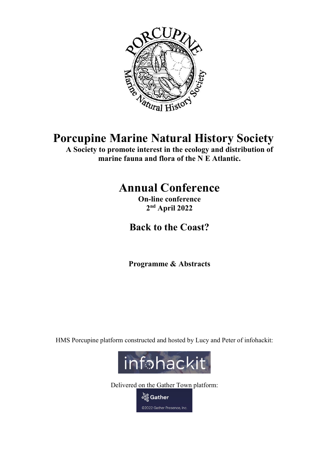

# Porcupine Marine Natural History Society

A Society to promote interest in the ecology and distribution of marine fauna and flora of the N E Atlantic.

# Annual Conference

On-line conference 2 nd April 2022

Back to the Coast?

Programme & Abstracts

HMS Porcupine platform constructed and hosted by Lucy and Peter of infohackit:



Delivered on the Gather Town platform:

တို့ Gather ©2022 Gather Presence, Inc.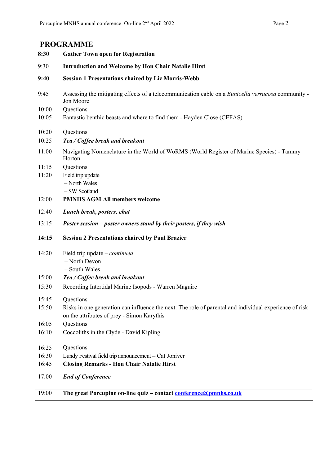#### PROGRAMME

| 8:30  | <b>Gather Town open for Registration</b>                                                                                                             |
|-------|------------------------------------------------------------------------------------------------------------------------------------------------------|
| 9:30  | <b>Introduction and Welcome by Hon Chair Natalie Hirst</b>                                                                                           |
| 9:40  | <b>Session 1 Presentations chaired by Liz Morris-Webb</b>                                                                                            |
| 9:45  | Assessing the mitigating effects of a telecommunication cable on a Eunicella verrucosa community -<br>Jon Moore                                      |
| 10:00 | Questions                                                                                                                                            |
| 10:05 | Fantastic benthic beasts and where to find them - Hayden Close (CEFAS)                                                                               |
| 10:20 | Questions                                                                                                                                            |
| 10:25 | Tea / Coffee break and breakout                                                                                                                      |
| 11:00 | Navigating Nomenclature in the World of WoRMS (World Register of Marine Species) - Tammy<br>Horton                                                   |
| 11:15 | Questions                                                                                                                                            |
| 11:20 | Field trip update<br>- North Wales<br>-SW Scotland                                                                                                   |
| 12:00 | <b>PMNHS AGM All members welcome</b>                                                                                                                 |
| 12:40 | Lunch break, posters, chat                                                                                                                           |
| 13:15 | Poster session - poster owners stand by their posters, if they wish                                                                                  |
| 14:15 | <b>Session 2 Presentations chaired by Paul Brazier</b>                                                                                               |
| 14:20 | Field trip update $-$ <i>continued</i>                                                                                                               |
|       | - North Devon                                                                                                                                        |
|       | - South Wales                                                                                                                                        |
| 15:00 | Tea / Coffee break and breakout                                                                                                                      |
| 15:30 | Recording Intertidal Marine Isopods - Warren Maguire                                                                                                 |
| 15:45 | Questions                                                                                                                                            |
| 15:50 | Risks in one generation can influence the next: The role of parental and individual experience of risk<br>on the attributes of prey - Simon Karythis |
| 16:05 | Questions                                                                                                                                            |
| 16:10 | Coccoliths in the Clyde - David Kipling                                                                                                              |
| 16:25 | Questions                                                                                                                                            |
| 16:30 | Lundy Festival field trip announcement - Cat Joniver                                                                                                 |
| 16:45 | <b>Closing Remarks - Hon Chair Natalie Hirst</b>                                                                                                     |
| 17:00 | <b>End of Conference</b>                                                                                                                             |

19:00 The great Porcupine on-line quiz – contact conference@pmnhs.co.uk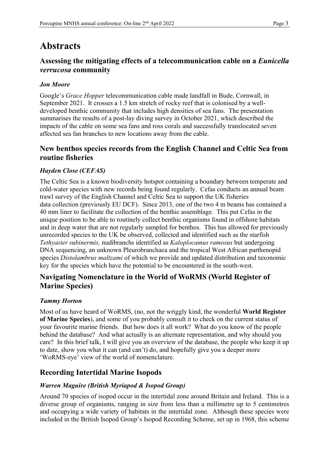### **Abstracts**

### Assessing the mitigating effects of a telecommunication cable on a Eunicella verrucosa community

#### Jon Moore

Google's Grace Hopper telecommunication cable made landfall in Bude, Cornwall, in September 2021. It crosses a 1.5 km stretch of rocky reef that is colonised by a welldeveloped benthic community that includes high densities of sea fans. The presentation summarises the results of a post-lay diving survey in October 2021, which described the impacts of the cable on some sea fans and ross corals and successfully translocated seven affected sea fan branches to new locations away from the cable.

#### New benthos species records from the English Channel and Celtic Sea from routine fisheries

#### Hayden Close (CEFAS)

The Celtic Sea is a known biodiversity hotspot containing a boundary between temperate and cold-water species with new records being found regularly. Cefas conducts an annual beam trawl survey of the English Channel and Celtic Sea to support the UK fisheries data collection (previously EU DCF). Since 2013, one of the two 4 m beams has contained a 40 mm liner to facilitate the collection of the benthic assemblage. This put Cefas in the unique position to be able to routinely collect benthic organisms found in offshore habitats and in deep water that are not regularly sampled for benthos. This has allowed for previously unrecorded species to the UK be observed, collected and identified such as the starfish Tethyaster subinermis, nudibranchs identified as Kaloplocamus ramosus but undergoing DNA sequencing, an unknown Pleurobranchaea and the tropical West African parthenopid species Distolambrus maltzami of which we provide and updated distribution and taxonomic key for the species which have the potential to be encountered in the south-west.

#### Navigating Nomenclature in the World of WoRMS (World Register of Marine Species)

#### Tammy Horton

Most of us have heard of WoRMS, (no, not the wriggly kind, the wonderful World Register of Marine Species), and some of you probably consult it to check on the current status of your favourite marine friends. But how does it all work? What do you know of the people behind the database? And what actually is an alternate representation, and why should you care? In this brief talk, I will give you an overview of the database, the people who keep it up to date, show you what it can (and can't) do, and hopefully give you a deeper more 'WoRMS-eye' view of the world of nomenclature.

#### Recording Intertidal Marine Isopods

#### Warren Maguire (British Myriapod & Isopod Group)

Around 70 species of isopod occur in the intertidal zone around Britain and Ireland. This is a diverse group of organisms, ranging in size from less than a millimetre up to 5 centimetres and occupying a wide variety of habitats in the intertidal zone. Although these species were included in the British Isopod Group's Isopod Recording Scheme, set up in 1968, this scheme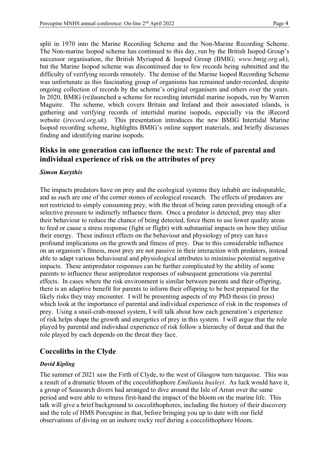split in 1970 into the Marine Recording Scheme and the Non-Marine Recording Scheme. The Non-marine Isopod scheme has continued to this day, run by the British Isopod Group's successor organisation, the British Myriapod & Isopod Group (BMIG; www.bmig.org.uk), but the Marine Isopod scheme was discontinued due to few records being submitted and the difficulty of verifying records remotely. The demise of the Marine Isopod Recording Scheme was unfortunate as this fascinating group of organisms has remained under-recorded, despite ongoing collection of records by the scheme's original organisers and others over the years. In 2020, BMIG (re)launched a scheme for recording intertidal marine isopods, run by Warren Maguire. The scheme, which covers Britain and Ireland and their associated islands, is gathering and verifying records of intertidal marine isopods, especially via the iRecord website (*irecord.org.uk*). This presentation introduces the new BMIG Intertidal Marine Isopod recording scheme, highlights BMIG's online support materials, and briefly discusses finding and identifying marine isopods.

#### Risks in one generation can influence the next: The role of parental and individual experience of risk on the attributes of prey

#### Simon Karythis

The impacts predators have on prey and the ecological systems they inhabit are indisputable, and as such are one of the corner stones of ecological research. The effects of predators are not restricted to simply consuming prey, with the threat of being eaten providing enough of a selective pressure to indirectly influence them. Once a predator is detected, prey may alter their behaviour to reduce the chance of being detected, force them to use lower quality areas to feed or cause a stress response (fight or flight) with substantial impacts on how they utilise their energy. These indirect effects on the behaviour and physiology of prey can have profound implications on the growth and fitness of prey. Due to this considerable influence on an organism's fitness, most prey are not passive in their interaction with predators, instead able to adapt various behavioural and physiological attributes to minimise potential negative impacts. These antipredator responses can be further complicated by the ability of some parents to influence these antipredator responses of subsequent generations via parental effects. In cases where the risk environment is similar between parents and their offspring, there is an adaptive benefit for parents to inform their offspring to be best prepared for the likely risks they may encounter. I will be presenting aspects of my PhD thesis (in press) which look at the importance of parental and individual experience of risk in the responses of prey. Using a snail-crab-mussel system, I will talk about how each generation's experience of risk helps shape the growth and energetics of prey in this system. I will argue that the role played by parental and individual experience of risk follow a hierarchy of threat and that the role played by each depends on the threat they face.

#### Coccoliths in the Clyde

#### David Kipling

The summer of 2021 saw the Firth of Clyde, to the west of Glasgow turn turquoise. This was a result of a dramatic bloom of the coccolithophore Emiliania huxleyi. As luck would have it, a group of Seasearch divers had arranged to dive around the Isle of Arran over the same period and were able to witness first-hand the impact of the bloom on the marine life. This talk will give a brief background to coccolithophores, including the history of their discovery and the role of HMS Porcupine in that, before bringing you up to date with our field observations of diving on an inshore rocky reef during a coccolithophore bloom.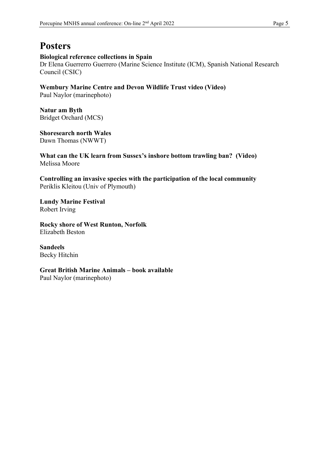## **Posters**

#### Biological reference collections in Spain

Dr Elena Guerrerro Guerrero (Marine Science Institute (ICM), Spanish National Research Council (CSIC)

Wembury Marine Centre and Devon Wildlife Trust video (Video)

Paul Naylor (marinephoto)

Natur am Byth Bridget Orchard (MCS)

Shoresearch north Wales Dawn Thomas (NWWT)

What can the UK learn from Sussex's inshore bottom trawling ban? (Video) Melissa Moore

Controlling an invasive species with the participation of the local community Periklis Kleitou (Univ of Plymouth)

Lundy Marine Festival Robert Irving

Rocky shore of West Runton, Norfolk Elizabeth Beston

Sandeels Becky Hitchin

Great British Marine Animals – book available Paul Naylor (marinephoto)